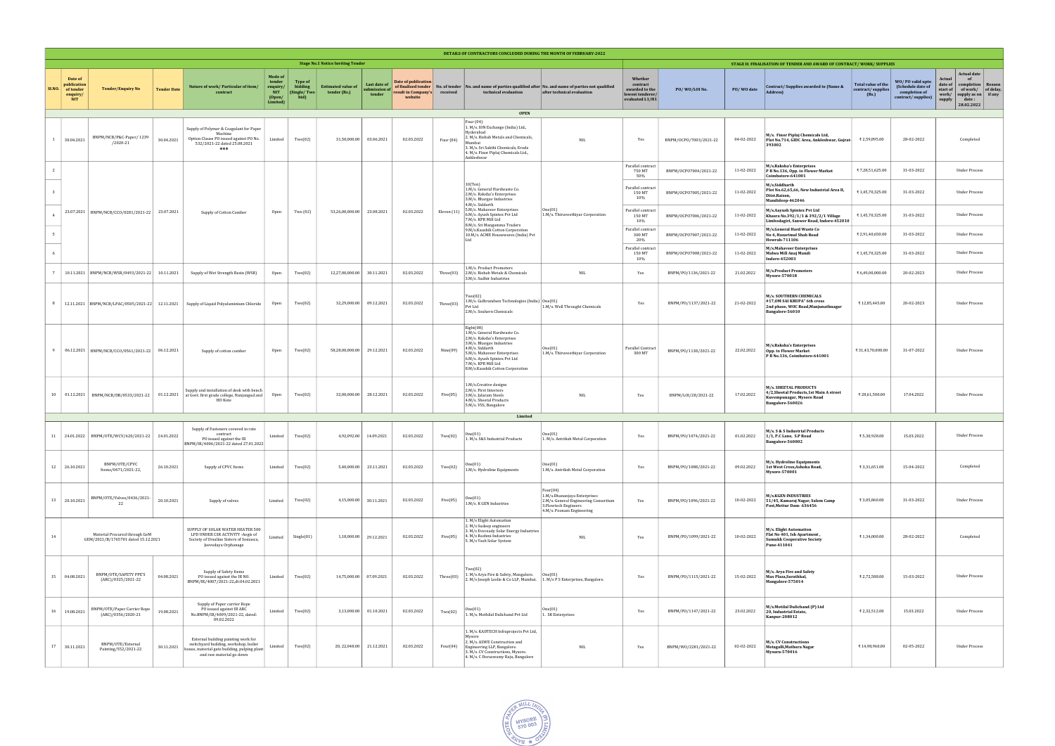| DETAILS OF CONTRACTORS CONCLUDED DURING THE MONTH OF FEBRUARY-2022 |                                                               |                                                                      |                    |                                                                                                                                                                |                                                                          |                                                   |                                           |                                               |                                                                              |                           |                                                                                                                                                                                                                                                    |                                                                                                                                         |                                                                              |                        |            |                                                                                                                    |                                                  |                                                                              |                                                                                                                                                                         |
|--------------------------------------------------------------------|---------------------------------------------------------------|----------------------------------------------------------------------|--------------------|----------------------------------------------------------------------------------------------------------------------------------------------------------------|--------------------------------------------------------------------------|---------------------------------------------------|-------------------------------------------|-----------------------------------------------|------------------------------------------------------------------------------|---------------------------|----------------------------------------------------------------------------------------------------------------------------------------------------------------------------------------------------------------------------------------------------|-----------------------------------------------------------------------------------------------------------------------------------------|------------------------------------------------------------------------------|------------------------|------------|--------------------------------------------------------------------------------------------------------------------|--------------------------------------------------|------------------------------------------------------------------------------|-------------------------------------------------------------------------------------------------------------------------------------------------------------------------|
|                                                                    | <b>Stage No.1 Notice Inviting Tender</b>                      |                                                                      |                    |                                                                                                                                                                |                                                                          |                                                   |                                           |                                               |                                                                              |                           |                                                                                                                                                                                                                                                    | STAGE II: FINALISATION OF TENDER AND AWARD OF CONTRACT/WORK/SUPPLIES                                                                    |                                                                              |                        |            |                                                                                                                    |                                                  |                                                                              |                                                                                                                                                                         |
| SI.NO.                                                             | Date of<br>publication<br>of tender<br>enquiry/<br><b>NIT</b> | <b>Tender/Enquiry No</b>                                             | <b>Tender Date</b> | Nature of work/ Particular of item/<br>contract                                                                                                                | <b>Mode of</b><br>tender<br>enquiry/<br><b>NIT</b><br>(Open/<br>Limited) | <b>Type of</b><br>bidding<br>(Single/Two)<br>bid) | <b>Estimated value of</b><br>tender (Rs.) | <b>Last date of</b><br>ubmission of<br>tender | Date of publication<br>of finalised tender<br>result in Company's<br>website | No. of tender<br>received | technical evaluation                                                                                                                                                                                                                               | and name of parties qualified after No. and name of parties not qualified<br>after technical evaluation                                 | Whether<br>contract<br>awarded to the<br>lowest tenderer/<br>evaluated L1/H1 | PO/WO/LOI No.          | PO/WO date | Contract/Supplies awarded to (Name &<br>Address)                                                                   | Total value of the<br>contract/supplies<br>(Rs.) | WO/PO valid upto<br>(Schedule date of<br>completion of<br>contract/supplies) | <b>Actual date</b><br>Actual<br>of<br>date of<br>completion<br>Reasor<br>of work/ of delay<br>start of<br>supply as on if any<br>work/<br>supply<br>date:<br>28.02.2022 |
| <b>OPEN</b><br>Four (04)                                           |                                                               |                                                                      |                    |                                                                                                                                                                |                                                                          |                                                   |                                           |                                               |                                                                              |                           |                                                                                                                                                                                                                                                    |                                                                                                                                         |                                                                              |                        |            |                                                                                                                    |                                                  |                                                                              |                                                                                                                                                                         |
|                                                                    | 30.04.2021                                                    | BNPM/NCB/P&C-Paper/1239<br>/2020-21                                  | 30.04.2021         | Supply of Polymer & Coagulant for Paper<br>Machine<br>Option Clause PO issued against PO No.<br>532/2021-22 dated 25.08.2021<br>***                            | Limited                                                                  | Two(02)                                           | 31,50,000.00                              | 03.06.2021                                    | 02.03.2022                                                                   | Four $(04)$               | 1. M/s. ION Exchange (India) Ltd.,<br>Hyderabad<br>2. M/s. Rishab Metals and Chemicals<br>Mumha<br>3. M/s. Sri Sakthi Chemicals, Erode<br>4. M/s. Finor Piplaj Chemicals Ltd.,<br>Ankleshwar                                                       | $\rm NIL$                                                                                                                               | Yes                                                                          | BNPM/OCPO/7003/2021-22 | 04-02-2022 | M/s. Finor Piplaj Chemicals Ltd,<br>Plot No.714, GIDC Area, Ankleshwar, Gujrat-<br>393002                          | ₹ 2,59,895.00                                    | 28-02-2022                                                                   | Completed                                                                                                                                                               |
|                                                                    |                                                               |                                                                      |                    |                                                                                                                                                                |                                                                          |                                                   |                                           |                                               |                                                                              |                           |                                                                                                                                                                                                                                                    |                                                                                                                                         | Parallel contract<br>750 MT<br>50%                                           | BNPM/OCPO7004/2021-22  | 11-02-2022 | M/s.Raksha's Enterprises<br>P B No.136, Opp. to Flower Market<br>Coimbatore-641001                                 | ₹7,28,51,625.00                                  | 31-03-2022                                                                   | <b>Under Process</b>                                                                                                                                                    |
|                                                                    |                                                               |                                                                      |                    |                                                                                                                                                                |                                                                          |                                                   |                                           |                                               |                                                                              |                           | 10(Ten)<br>1.M/s. General Hardwaste Co.<br>2.M/s. Raksha's Enterprises<br>3.M/s. Bhargav Industries                                                                                                                                                |                                                                                                                                         | Parallel contract<br>150 MT<br>10%                                           | BNPM/OCPO7005/2021-22  | 11-02-2022 | M/s.Siddharth<br>Plot No.62,65,66, New Industrial Area II,<br>Diist.Raisen,<br>Mandideep-462046                    | ₹1,45,70,325.00                                  | 31-03-2022                                                                   | <b>Under Process</b>                                                                                                                                                    |
|                                                                    |                                                               | 23.07.2021   BNPM/NCB/CCO/0281/2021-22   23.07.2021                  |                    | Supply of Cotton Comber                                                                                                                                        | Open                                                                     | Two (02)                                          | 53,26,00,000.00                           | 23.08.2021                                    | 02.03.2022                                                                   | Eleven (11)               | 4.M/s. Siddarth<br>5.M/s. Mahaveer Enterprises<br>6.M/s. Ayush Spintex Pvt Ltd<br>7.M/s. KPR Mill Ltd<br>8.M/s. Sri Mangamma Traders                                                                                                               | One(01)<br>1.M/s. Thiruveethiyar Corporation                                                                                            | Parallel contract<br>150 MT<br>10%                                           | BNPM/OCPO7006/2021-22  | 11-02-2022 | M/s.Aayush Spintex Pvt Ltd<br>Khasra No.392/1/1 & 392/2/1 Village<br>Limbodagiri, Sanwer Road, Indore-452010       | ₹1,45,70,325.00                                  | 31-03-2022                                                                   | <b>Under Process</b>                                                                                                                                                    |
|                                                                    |                                                               |                                                                      |                    |                                                                                                                                                                |                                                                          |                                                   |                                           |                                               |                                                                              |                           | 9.M/s.Kaushik Cotton Corporation<br>10.M/s. ACME Housewares (India) Pvt<br>It                                                                                                                                                                      |                                                                                                                                         | Parallel contract<br>300 MT<br>20%                                           | BNPM/OCPO7007/2021-22  | 11-02-2022 | M/s.General Hard Waste Co<br>No 4, Hazarimal Shah Road<br>Howrah-711106                                            | ₹ 2,91,40,650.00                                 | 31-03-2022                                                                   | <b>Under Process</b>                                                                                                                                                    |
|                                                                    |                                                               |                                                                      |                    |                                                                                                                                                                |                                                                          |                                                   |                                           |                                               |                                                                              |                           | 1.M/s. Product Promoters                                                                                                                                                                                                                           |                                                                                                                                         | Parallel contract<br>150 MT<br>10%                                           | BNPM/OCPO7008/2021-22  | 11-02-2022 | M/s.Mahaveer Enterprises<br>Malwa Mill Anaj Mandi<br><b>Indore-452003</b>                                          | ₹1,45,70,325.00                                  | 31-03-2022                                                                   | <b>Under Process</b>                                                                                                                                                    |
|                                                                    |                                                               | 10.11.2021   BNPM/NCB/WSR/0493/2021-22   10.11.2021                  |                    | Supply of Wet Strength Resin (WSR)                                                                                                                             | Open                                                                     | Two(02)                                           | 12,27,00,000.00                           | 30.11.2021                                    | 02.03.2022                                                                   | Three(03)                 | 2.M/s. Rishab Metals & Chemicals<br>3.M/s. Sudhir Industries                                                                                                                                                                                       | <b>NIL</b>                                                                                                                              | Yes                                                                          | BNPM/PO/1136/2021-22   | 21.02.2022 | <b>M/s.Product Promoters</b><br>Mysore-570018                                                                      | ₹ 6,49,00,000.00                                 | 20-02-2023                                                                   | <b>Under Process</b>                                                                                                                                                    |
|                                                                    |                                                               | 12.11.2021   BNPM/NCB/LPAC/0505/2021-22   12.11.2021                 |                    | Supply of Liquid Polyaluminium Chloride                                                                                                                        | Open                                                                     | Two(02)                                           | 32,29,000.00                              | 09.12.2021                                    | 02.03.2022                                                                   | Three $(03)$              | Two(02)<br>1.M/s. Gulbrandsen Technologies (India)   One(01)<br>Pvt Ltd<br>2.M/s. Souhern Chemicals                                                                                                                                                | 1.M/s. Well Throught Chemicals                                                                                                          | Yes                                                                          | BNPM/PO/1137/2021-22   | 21-02-2022 | M/s. SOUTHERN CHEMICALS<br>#17,0M SAI KRUPA" 6th cross<br>2nd phase, WOC Road, Manjunathnagar<br>Bangalore-56010   | ₹12,85,445.00                                    | 20-02-2023                                                                   | <b>Under Process</b>                                                                                                                                                    |
|                                                                    |                                                               | 06.12.2021   BNPM/NCB/CCO/0561/2021-22   06.12.2021                  |                    | Supply of cotton comber                                                                                                                                        | Open                                                                     | Two(02)                                           | 58,28,00,000.00                           | 29.12.2021                                    | 02.03.2022                                                                   | Nine(09)                  | Eight(08)<br>1.M/s. General Hardwaste Co.<br>2.M/s. Raksha's Enterprises<br>3.M/s. Bhargav Industries<br>4.M/s. Siddarth<br>5.M/s. Mahaveer Enterprises<br>6.M/s. Ayush Spintex Pvt Ltd<br>7.M/s. KPR Mill Ltd<br>8.M/s.Kaushik Cotton Corporation | One(01)<br>1.M/s. Thiruveethiyar Corporation                                                                                            | Parallel Contract<br>300 MT                                                  | BNPM/PO/1138/2021-22   | 22.02.2022 | M/s.Raksha's Enterprises<br>Opp. to Flower Market<br>P B No.136, Coimbatore-641001                                 | ₹31,43,70,000.00                                 | 31-07-2022                                                                   | <b>Under Process</b>                                                                                                                                                    |
|                                                                    |                                                               |                                                                      |                    | Supply and installation of desk with bench<br>10   01.12.2021   BNPM/NCB/DB/0533/2021-22   01.12.2021   at Govt. first grade college, Nanjangud and<br>HD Kote | Open                                                                     | Two(02)                                           | 32,00,000.00                              | 28.12.2021                                    | 02.03.2022                                                                   | Five(05)                  | 1.M/s.Creative designs<br>2.M/s. First Interiors<br>3.M/s. Jalaram Steels<br>4.M/s. Sheetal Products<br>5.M/s. VSS, Bangalore                                                                                                                      | <b>NIL</b>                                                                                                                              | Yes                                                                          | BNPM/L0I/28/2021-22    | 17.02.2022 | M/s. SHEETAL PRODUCTS<br>4/2, Sheetal Products, 1st Main A street<br>Kuvempunagar, Mysore Road<br>Bangalore-560026 | ₹28,61,500.00                                    | 17.04.2022                                                                   | <b>Under Process</b>                                                                                                                                                    |
|                                                                    |                                                               |                                                                      |                    |                                                                                                                                                                |                                                                          |                                                   |                                           |                                               |                                                                              |                           | Limited                                                                                                                                                                                                                                            |                                                                                                                                         |                                                                              |                        |            |                                                                                                                    |                                                  |                                                                              |                                                                                                                                                                         |
| 11                                                                 |                                                               | 24.01.2022   BNPM/OTE/WCV/620/2021-22   24.01.2022                   |                    | Supply of Fasteners covered in rate<br>contract<br>PO issued against the IR<br>NPM/IR/4006/2021-22 dated 27.01.2022                                            | Limited                                                                  | Two(02)                                           | 4,92,092.00                               | 14.09.2021                                    | 02.03.2022                                                                   | Two(02)                   | ne(01)<br>1. M/s. S&S Industrial Products                                                                                                                                                                                                          | Jne(01)<br>1. M/s. Antriksh Metal Corporation                                                                                           | Yes                                                                          | BNPM/P0/1074/2021-22   | 01.02.2022 | M/s. S & S Industrial Products<br>1/1, P.C Lane, S.P Road<br>Bangalore-560002                                      | ₹5,30,928.00                                     | 15.03.2022                                                                   | <b>Under Process</b>                                                                                                                                                    |
|                                                                    | 12 26.10.2021                                                 | BNPM/OTE/CPVC<br>Items/0471/2021-22,                                 | 26.10.2021         | Supply of CPVC Items                                                                                                                                           | Limited                                                                  | Two(02)                                           | 5,40,000.00                               | 23.11.2021                                    | 02.03.2022                                                                   | Two(02)                   | )ne(01)<br>1.M/s. Hydroline Equipments                                                                                                                                                                                                             | One(01)<br>1.M/s. Antriksh Metal Corporation                                                                                            | Yes                                                                          | BNPM/PO/1088/2021-22   | 09.02.2022 | M/s. Hydroline Equipments<br>1st West Cross, Ashoka Road,<br>Mysore-570001                                         | ₹3,31,651.00                                     | 15-04-2022                                                                   | Completed                                                                                                                                                               |
|                                                                    | 13 20.10.2021                                                 | BNPM/OTE/Valves/0436/2021-<br>22                                     | 20.10.2021         | Supply of valves                                                                                                                                               | Limited                                                                  | Two(02)                                           | 4,15,000.00                               | 30.11.2021                                    | 02.03.2022                                                                   | Five(05)                  | Jne(01)<br>1.M/s. K GEN Industries                                                                                                                                                                                                                 | Four(04)<br>1.M/s.Dhananjaya Enterprises<br>2.M/s. General Engineering Consortium<br>3. Flowtech Engineers<br>4.M/s. Poonam Engineering | Yes                                                                          | BNPM/P0/1096/2021-22   | 10-02-2022 | <b>M/s.KGEN INDUSTRIES</b><br>51/45, Kamaraj Nagar, Salem Camp<br>Post, Mettur Dam- 636456                         | ₹3,05,860.00                                     | 31-03-2022                                                                   | Under Process                                                                                                                                                           |
| 14                                                                 |                                                               | Material Procured through GeM<br>GEM/2021/B/1765701 dated 15.12.2021 |                    | SUPPLY OF SOLAR WATER HEATER 500<br>LPD UNDER CSR ACTIVITY -Aegis of<br>Society of Ursuline Sisters of Somasca,<br>Jeevodaya Orphanage                         | Limited                                                                  | Single(01)                                        | 1,18,000.00                               | 29.12.2021                                    | 02.03.2022                                                                   | Five(05)                  | 1. M/s Elight Automation<br>2. M/s Sudeep engineers<br>3. M/s Eveready Solar Energy Industries<br>4. M/s Rashmi Industries<br>5. M/s Yash Solar System                                                                                             | $\rm NIL$                                                                                                                               | Yes                                                                          | BNPM/P0/1099/2021-22   | 10-02-2022 | M/s. Elight Automation<br>Flat No 401, Ish Apartment,<br><b>Sumukh Cooperative Society</b><br>Pune-411041          | ₹1,34,000.00                                     | 28-02-2022                                                                   | Completed                                                                                                                                                               |
|                                                                    | 15 04.08.2021                                                 | BNPM/OTE/SAFETY PPE'S<br>(ARC)/0325/2021-22                          | 04.08.2021         | Supply of Safety Items<br>PO issued against the IR NO.<br>BNPM/IR/4007/2021-22,dt:04.02.2021                                                                   | Limited                                                                  | Two(02)                                           | 14,75,000.00                              | 07.09.2021                                    | 02.03.2022                                                                   | Three(03)                 | Fwo(02)<br>1. M/s Arya Fire & Safety, Mangalore.<br>2. M/s Joseph Leslie & Co LLP, Mumbai.                                                                                                                                                         | One(01)<br>1. M/s P S Enterprises, Bangalore.                                                                                           | Yes                                                                          | BNPM/PO/1115/2021-22   | 15-02-2022 | M/s. Arya Fire and Safety<br>Max Plaza, Surathkal,<br>Mangalore-575014                                             | ₹ 2,72,588.00                                    | 15-03-2022                                                                   | <b>Under Process</b>                                                                                                                                                    |
|                                                                    | 16 19.08.2021                                                 | BNPM/OTE/Paper Carrier Rope<br>(ARC)/0356/2020-21                    | 19.08.2021         | Supply of Paper carrier Rope<br>PO issued against IR ARC<br>No.BNPM/IR/4009/2021-22, dated:<br>09.02.2022                                                      | Limited                                                                  | Two(02)                                           | 3,13,000.00                               | 01.10.2021                                    | 02.03.2022                                                                   | Two(02)                   | One(01)<br>1. M/s. Mothilal Dulichand Pvt Ltd                                                                                                                                                                                                      | One(01)<br>1. SK Enterprises                                                                                                            | Yes                                                                          | BNPM/PO/1147/2021-22   | 23.02.2022 | M/s.Motilal Dulichand (P) Ltd<br>20, Industrial Estate,<br><b>Kanpur-208012</b>                                    | ₹ 2,32,512.00                                    | 15.03.2022                                                                   | <b>Under Process</b>                                                                                                                                                    |
| 17                                                                 | 30.11.2021                                                    | BNPM/OTE/External<br>Painting/552/2021-22                            | 30.11.2021         | External building painting work for<br>switchyard building, workshop, boiler<br>house, material gate building, pulping plant<br>and raw material go down       | Limited                                                                  | Two(02)                                           | 20, 22, 048.00                            | 21.12.2021                                    | 02.03.2022                                                                   | Four(04)                  | 1. M/s. KADTECH Infraprojects Pvt Ltd,<br>  Mysor<br>2. M/s. ASWE Construction and<br>Engineering LLP, Bangalore.<br>3. M/s. CV Constructions, Mysore.<br>4. M/s. C Doraswamy Raju, Bangalore                                                      | $_{\rm NIL}$                                                                                                                            | Yes                                                                          | BNPM/W0/2281/2021-22   | 02-02-2022 | M/s. CV Constructions<br>Metagalli, Mathura Nagar<br>Mysuru-570016                                                 | ₹14,98,960.00                                    | 02-05-2022                                                                   | <b>Under Process</b>                                                                                                                                                    |